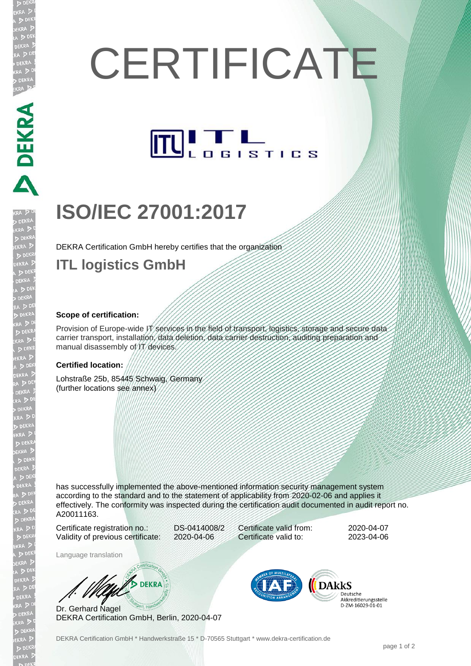# **CERTIFICATE**



# **ISO/IEC 27001:2017**

DEKRA Certification GmbH hereby certifies that the organization

### **ITL logistics GmbH**

#### **Scope of certification:**

**DEKRA REA** 

JEKR

D DEK<br>(RA D

**EKR** 

Provision of Europe-wide IT services in the field of transport, logistics, storage and secure data carrier transport, installation, data deletion, data carrier destruction, auditing preparation and manual disassembly of IT devices.

#### **Certified location:**

Lohstraße 25b, 85445 Schwaig, Germany (further locations see annex)

has successfully implemented the above-mentioned information security management system according to the standard and to the statement of applicability from 2020-02-06 and applies it effectively. The conformity was inspected during the certification audit documented in audit report no. A20011163.

Certificate registration no.: DS-0414008/2 Validity of previous certificate: 2020-04-06

Certificate valid from: 2020-04-07 Certificate valid to: 2023-04-06

Language translation

**S** DEKRA

Dr. Gerhard Nagel DEKRA Certification GmbH, Berlin, 2020-04-07



**DARKS** Deutsche Akkreditierungsstelle D-7M-16029-01-01